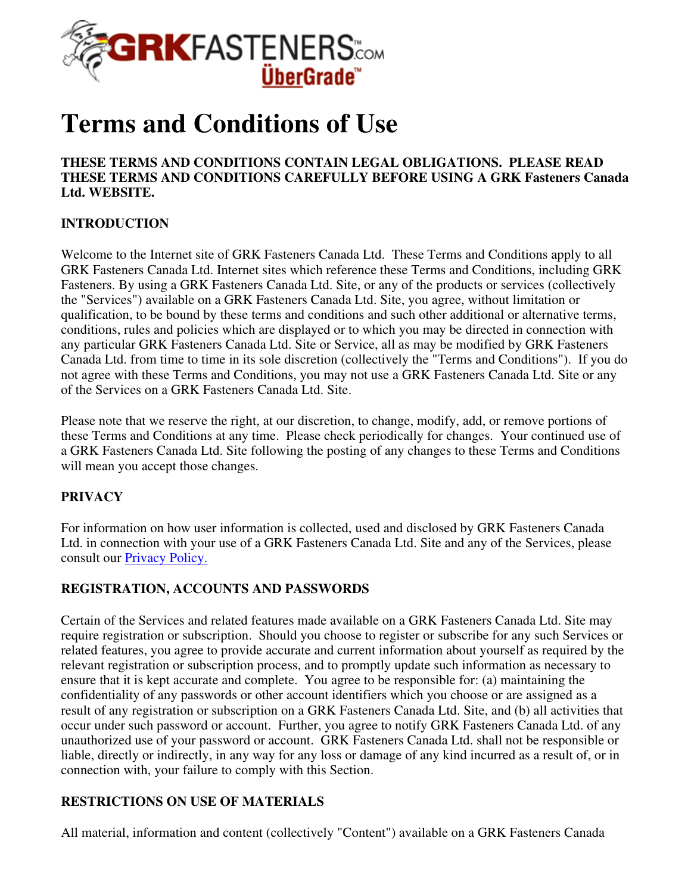

# **Terms and Conditions of Use**

#### **THESE TERMS AND CONDITIONS CONTAIN LEGAL OBLIGATIONS. PLEASE READ THESE TERMS AND CONDITIONS CAREFULLY BEFORE USING A GRK Fasteners Canada Ltd. WEBSITE.**

## **INTRODUCTION**

Welcome to the Internet site of GRK Fasteners Canada Ltd. These Terms and Conditions apply to all GRK Fasteners Canada Ltd. Internet sites which reference these Terms and Conditions, including GRK Fasteners. By using a GRK Fasteners Canada Ltd. Site, or any of the products or services (collectively the "Services") available on a GRK Fasteners Canada Ltd. Site, you agree, without limitation or qualification, to be bound by these terms and conditions and such other additional or alternative terms, conditions, rules and policies which are displayed or to which you may be directed in connection with any particular GRK Fasteners Canada Ltd. Site or Service, all as may be modified by GRK Fasteners Canada Ltd. from time to time in its sole discretion (collectively the "Terms and Conditions"). If you do not agree with these Terms and Conditions, you may not use a GRK Fasteners Canada Ltd. Site or any of the Services on a GRK Fasteners Canada Ltd. Site.

Please note that we reserve the right, at our discretion, to change, modify, add, or remove portions of these Terms and Conditions at any time. Please check periodically for changes. Your continued use of a GRK Fasteners Canada Ltd. Site following the posting of any changes to these Terms and Conditions will mean you accept those changes.

#### **PRIVACY**

For information on how user information is collected, used and disclosed by GRK Fasteners Canada Ltd. in connection with your use of a GRK Fasteners Canada Ltd. Site and any of the Services, please consult our Privacy Policy.

#### **REGISTRATION, ACCOUNTS AND PASSWORDS**

Certain of the Services and related features made available on a GRK Fasteners Canada Ltd. Site may require registration or subscription. Should you choose to register or subscribe for any such Services or related features, you agree to provide accurate and current information about yourself as required by the relevant registration or subscription process, and to promptly update such information as necessary to ensure that it is kept accurate and complete. You agree to be responsible for: (a) maintaining the confidentiality of any passwords or other account identifiers which you choose or are assigned as a result of any registration or subscription on a GRK Fasteners Canada Ltd. Site, and (b) all activities that occur under such password or account. Further, you agree to notify GRK Fasteners Canada Ltd. of any unauthorized use of your password or account. GRK Fasteners Canada Ltd. shall not be responsible or liable, directly or indirectly, in any way for any loss or damage of any kind incurred as a result of, or in connection with, your failure to comply with this Section.

#### **RESTRICTIONS ON USE OF MATERIALS**

All material, information and content (collectively "Content") available on a GRK Fasteners Canada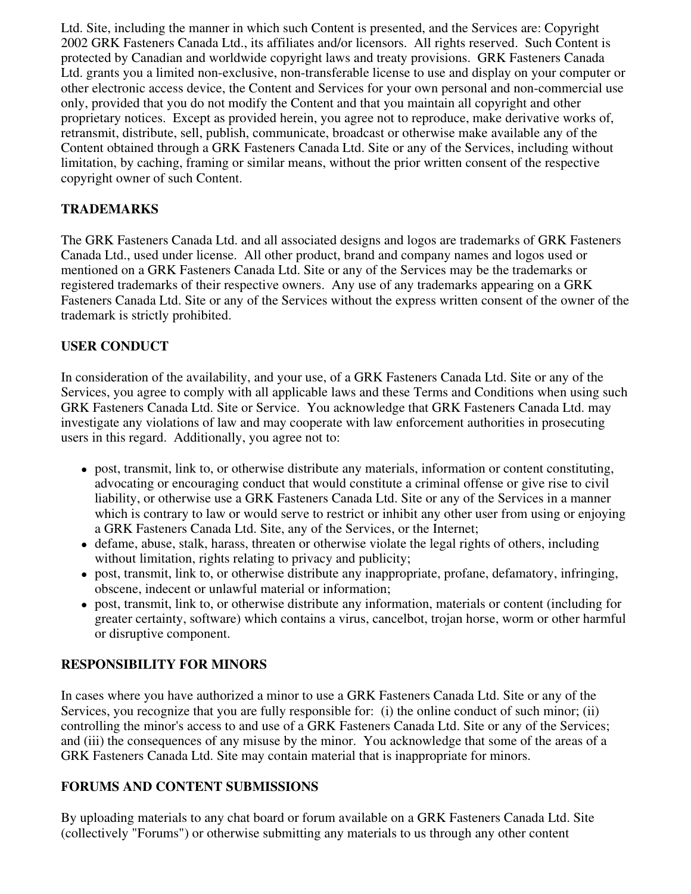Ltd. Site, including the manner in which such Content is presented, and the Services are: Copyright 2002 GRK Fasteners Canada Ltd., its affiliates and/or licensors. All rights reserved. Such Content is protected by Canadian and worldwide copyright laws and treaty provisions. GRK Fasteners Canada Ltd. grants you a limited non-exclusive, non-transferable license to use and display on your computer or other electronic access device, the Content and Services for your own personal and non-commercial use only, provided that you do not modify the Content and that you maintain all copyright and other proprietary notices. Except as provided herein, you agree not to reproduce, make derivative works of, retransmit, distribute, sell, publish, communicate, broadcast or otherwise make available any of the Content obtained through a GRK Fasteners Canada Ltd. Site or any of the Services, including without limitation, by caching, framing or similar means, without the prior written consent of the respective copyright owner of such Content.

## **TRADEMARKS**

The GRK Fasteners Canada Ltd. and all associated designs and logos are trademarks of GRK Fasteners Canada Ltd., used under license. All other product, brand and company names and logos used or mentioned on a GRK Fasteners Canada Ltd. Site or any of the Services may be the trademarks or registered trademarks of their respective owners. Any use of any trademarks appearing on a GRK Fasteners Canada Ltd. Site or any of the Services without the express written consent of the owner of the trademark is strictly prohibited.

## **USER CONDUCT**

In consideration of the availability, and your use, of a GRK Fasteners Canada Ltd. Site or any of the Services, you agree to comply with all applicable laws and these Terms and Conditions when using such GRK Fasteners Canada Ltd. Site or Service. You acknowledge that GRK Fasteners Canada Ltd. may investigate any violations of law and may cooperate with law enforcement authorities in prosecuting users in this regard. Additionally, you agree not to:

- post, transmit, link to, or otherwise distribute any materials, information or content constituting, advocating or encouraging conduct that would constitute a criminal offense or give rise to civil liability, or otherwise use a GRK Fasteners Canada Ltd. Site or any of the Services in a manner which is contrary to law or would serve to restrict or inhibit any other user from using or enjoying a GRK Fasteners Canada Ltd. Site, any of the Services, or the Internet;
- defame, abuse, stalk, harass, threaten or otherwise violate the legal rights of others, including without limitation, rights relating to privacy and publicity;
- post, transmit, link to, or otherwise distribute any inappropriate, profane, defamatory, infringing, obscene, indecent or unlawful material or information;
- post, transmit, link to, or otherwise distribute any information, materials or content (including for greater certainty, software) which contains a virus, cancelbot, trojan horse, worm or other harmful or disruptive component.

# **RESPONSIBILITY FOR MINORS**

In cases where you have authorized a minor to use a GRK Fasteners Canada Ltd. Site or any of the Services, you recognize that you are fully responsible for: (i) the online conduct of such minor; (ii) controlling the minor's access to and use of a GRK Fasteners Canada Ltd. Site or any of the Services; and (iii) the consequences of any misuse by the minor. You acknowledge that some of the areas of a GRK Fasteners Canada Ltd. Site may contain material that is inappropriate for minors.

#### **FORUMS AND CONTENT SUBMISSIONS**

By uploading materials to any chat board or forum available on a GRK Fasteners Canada Ltd. Site (collectively "Forums") or otherwise submitting any materials to us through any other content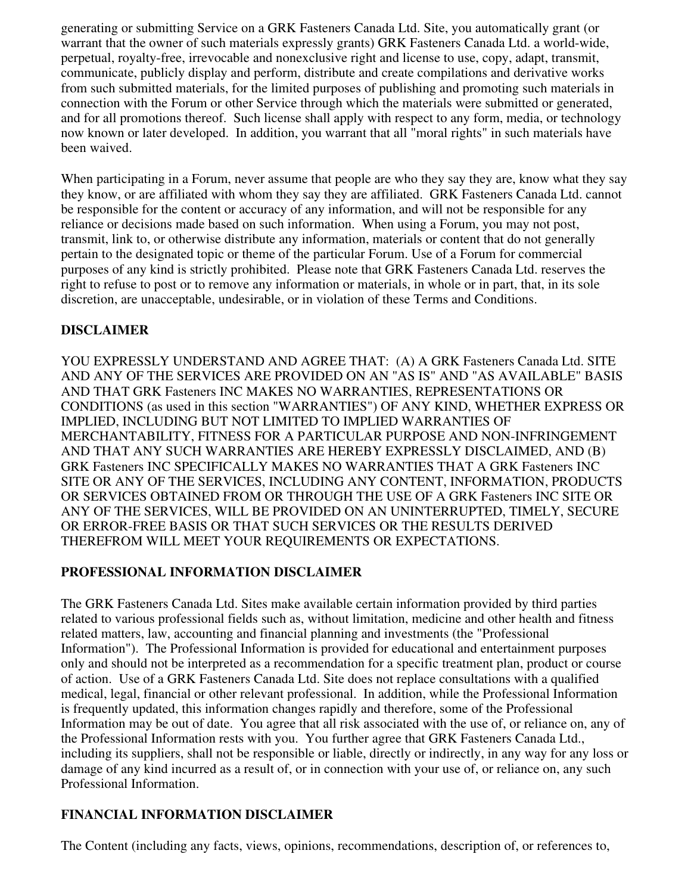generating or submitting Service on a GRK Fasteners Canada Ltd. Site, you automatically grant (or warrant that the owner of such materials expressly grants) GRK Fasteners Canada Ltd. a world-wide, perpetual, royalty-free, irrevocable and nonexclusive right and license to use, copy, adapt, transmit, communicate, publicly display and perform, distribute and create compilations and derivative works from such submitted materials, for the limited purposes of publishing and promoting such materials in connection with the Forum or other Service through which the materials were submitted or generated, and for all promotions thereof. Such license shall apply with respect to any form, media, or technology now known or later developed. In addition, you warrant that all "moral rights" in such materials have been waived.

When participating in a Forum, never assume that people are who they say they are, know what they say they know, or are affiliated with whom they say they are affiliated. GRK Fasteners Canada Ltd. cannot be responsible for the content or accuracy of any information, and will not be responsible for any reliance or decisions made based on such information. When using a Forum, you may not post, transmit, link to, or otherwise distribute any information, materials or content that do not generally pertain to the designated topic or theme of the particular Forum. Use of a Forum for commercial purposes of any kind is strictly prohibited. Please note that GRK Fasteners Canada Ltd. reserves the right to refuse to post or to remove any information or materials, in whole or in part, that, in its sole discretion, are unacceptable, undesirable, or in violation of these Terms and Conditions.

## **DISCLAIMER**

YOU EXPRESSLY UNDERSTAND AND AGREE THAT: (A) A GRK Fasteners Canada Ltd. SITE AND ANY OF THE SERVICES ARE PROVIDED ON AN "AS IS" AND "AS AVAILABLE" BASIS AND THAT GRK Fasteners INC MAKES NO WARRANTIES, REPRESENTATIONS OR CONDITIONS (as used in this section "WARRANTIES") OF ANY KIND, WHETHER EXPRESS OR IMPLIED, INCLUDING BUT NOT LIMITED TO IMPLIED WARRANTIES OF MERCHANTABILITY, FITNESS FOR A PARTICULAR PURPOSE AND NON-INFRINGEMENT AND THAT ANY SUCH WARRANTIES ARE HEREBY EXPRESSLY DISCLAIMED, AND (B) GRK Fasteners INC SPECIFICALLY MAKES NO WARRANTIES THAT A GRK Fasteners INC SITE OR ANY OF THE SERVICES, INCLUDING ANY CONTENT, INFORMATION, PRODUCTS OR SERVICES OBTAINED FROM OR THROUGH THE USE OF A GRK Fasteners INC SITE OR ANY OF THE SERVICES, WILL BE PROVIDED ON AN UNINTERRUPTED, TIMELY, SECURE OR ERROR-FREE BASIS OR THAT SUCH SERVICES OR THE RESULTS DERIVED THEREFROM WILL MEET YOUR REQUIREMENTS OR EXPECTATIONS.

#### **PROFESSIONAL INFORMATION DISCLAIMER**

The GRK Fasteners Canada Ltd. Sites make available certain information provided by third parties related to various professional fields such as, without limitation, medicine and other health and fitness related matters, law, accounting and financial planning and investments (the "Professional Information"). The Professional Information is provided for educational and entertainment purposes only and should not be interpreted as a recommendation for a specific treatment plan, product or course of action. Use of a GRK Fasteners Canada Ltd. Site does not replace consultations with a qualified medical, legal, financial or other relevant professional. In addition, while the Professional Information is frequently updated, this information changes rapidly and therefore, some of the Professional Information may be out of date. You agree that all risk associated with the use of, or reliance on, any of the Professional Information rests with you. You further agree that GRK Fasteners Canada Ltd., including its suppliers, shall not be responsible or liable, directly or indirectly, in any way for any loss or damage of any kind incurred as a result of, or in connection with your use of, or reliance on, any such Professional Information.

# **FINANCIAL INFORMATION DISCLAIMER**

The Content (including any facts, views, opinions, recommendations, description of, or references to,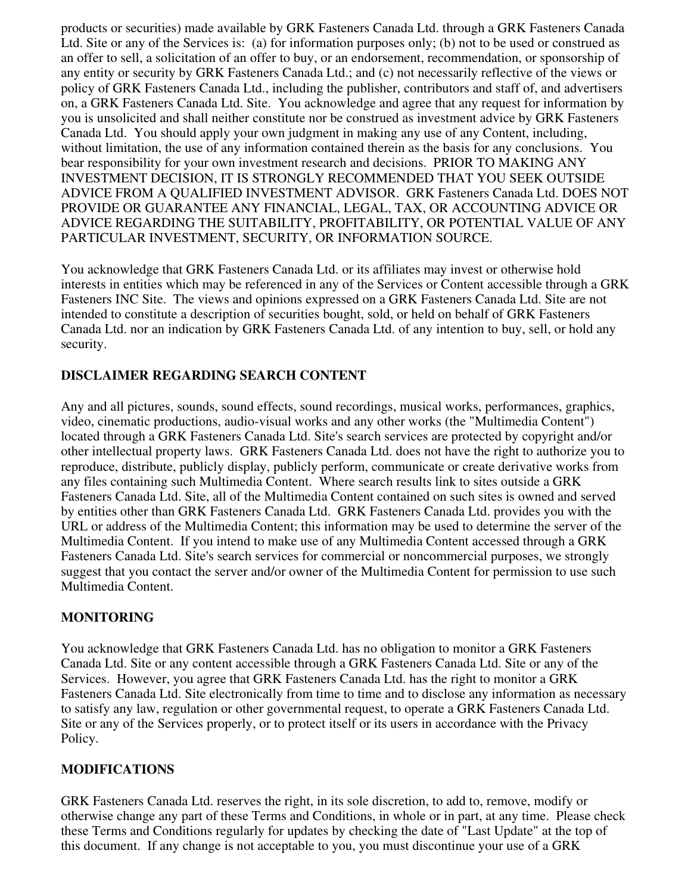products or securities) made available by GRK Fasteners Canada Ltd. through a GRK Fasteners Canada Ltd. Site or any of the Services is: (a) for information purposes only; (b) not to be used or construed as an offer to sell, a solicitation of an offer to buy, or an endorsement, recommendation, or sponsorship of any entity or security by GRK Fasteners Canada Ltd.; and (c) not necessarily reflective of the views or policy of GRK Fasteners Canada Ltd., including the publisher, contributors and staff of, and advertisers on, a GRK Fasteners Canada Ltd. Site. You acknowledge and agree that any request for information by you is unsolicited and shall neither constitute nor be construed as investment advice by GRK Fasteners Canada Ltd. You should apply your own judgment in making any use of any Content, including, without limitation, the use of any information contained therein as the basis for any conclusions. You bear responsibility for your own investment research and decisions. PRIOR TO MAKING ANY INVESTMENT DECISION, IT IS STRONGLY RECOMMENDED THAT YOU SEEK OUTSIDE ADVICE FROM A QUALIFIED INVESTMENT ADVISOR. GRK Fasteners Canada Ltd. DOES NOT PROVIDE OR GUARANTEE ANY FINANCIAL, LEGAL, TAX, OR ACCOUNTING ADVICE OR ADVICE REGARDING THE SUITABILITY, PROFITABILITY, OR POTENTIAL VALUE OF ANY PARTICULAR INVESTMENT, SECURITY, OR INFORMATION SOURCE.

You acknowledge that GRK Fasteners Canada Ltd. or its affiliates may invest or otherwise hold interests in entities which may be referenced in any of the Services or Content accessible through a GRK Fasteners INC Site. The views and opinions expressed on a GRK Fasteners Canada Ltd. Site are not intended to constitute a description of securities bought, sold, or held on behalf of GRK Fasteners Canada Ltd. nor an indication by GRK Fasteners Canada Ltd. of any intention to buy, sell, or hold any security.

#### **DISCLAIMER REGARDING SEARCH CONTENT**

Any and all pictures, sounds, sound effects, sound recordings, musical works, performances, graphics, video, cinematic productions, audio-visual works and any other works (the "Multimedia Content") located through a GRK Fasteners Canada Ltd. Site's search services are protected by copyright and/or other intellectual property laws. GRK Fasteners Canada Ltd. does not have the right to authorize you to reproduce, distribute, publicly display, publicly perform, communicate or create derivative works from any files containing such Multimedia Content. Where search results link to sites outside a GRK Fasteners Canada Ltd. Site, all of the Multimedia Content contained on such sites is owned and served by entities other than GRK Fasteners Canada Ltd. GRK Fasteners Canada Ltd. provides you with the URL or address of the Multimedia Content; this information may be used to determine the server of the Multimedia Content. If you intend to make use of any Multimedia Content accessed through a GRK Fasteners Canada Ltd. Site's search services for commercial or noncommercial purposes, we strongly suggest that you contact the server and/or owner of the Multimedia Content for permission to use such Multimedia Content.

#### **MONITORING**

You acknowledge that GRK Fasteners Canada Ltd. has no obligation to monitor a GRK Fasteners Canada Ltd. Site or any content accessible through a GRK Fasteners Canada Ltd. Site or any of the Services. However, you agree that GRK Fasteners Canada Ltd. has the right to monitor a GRK Fasteners Canada Ltd. Site electronically from time to time and to disclose any information as necessary to satisfy any law, regulation or other governmental request, to operate a GRK Fasteners Canada Ltd. Site or any of the Services properly, or to protect itself or its users in accordance with the Privacy Policy.

#### **MODIFICATIONS**

GRK Fasteners Canada Ltd. reserves the right, in its sole discretion, to add to, remove, modify or otherwise change any part of these Terms and Conditions, in whole or in part, at any time. Please check these Terms and Conditions regularly for updates by checking the date of "Last Update" at the top of this document. If any change is not acceptable to you, you must discontinue your use of a GRK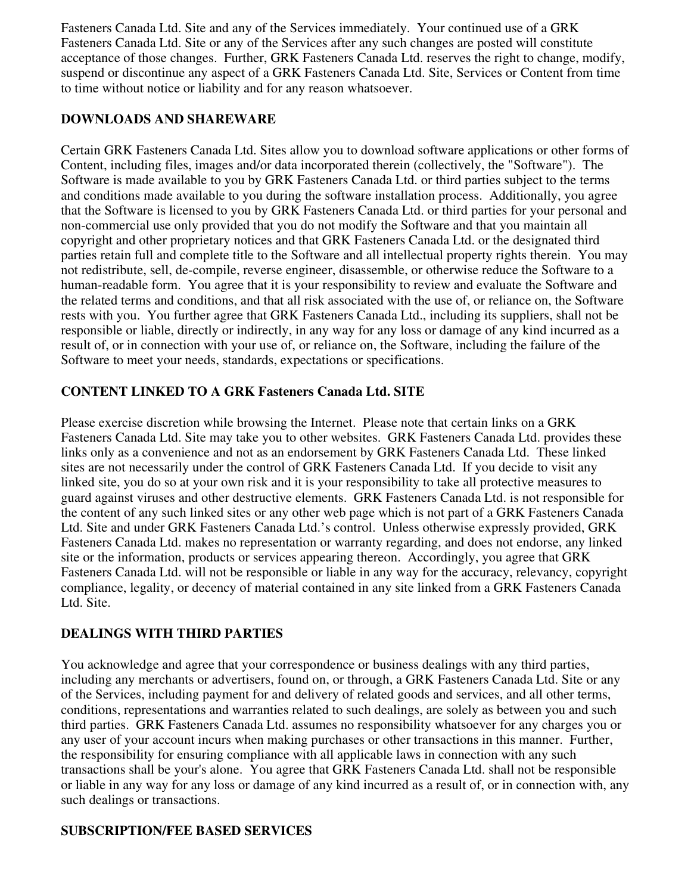Fasteners Canada Ltd. Site and any of the Services immediately. Your continued use of a GRK Fasteners Canada Ltd. Site or any of the Services after any such changes are posted will constitute acceptance of those changes. Further, GRK Fasteners Canada Ltd. reserves the right to change, modify, suspend or discontinue any aspect of a GRK Fasteners Canada Ltd. Site, Services or Content from time to time without notice or liability and for any reason whatsoever.

#### **DOWNLOADS AND SHAREWARE**

Certain GRK Fasteners Canada Ltd. Sites allow you to download software applications or other forms of Content, including files, images and/or data incorporated therein (collectively, the "Software"). The Software is made available to you by GRK Fasteners Canada Ltd. or third parties subject to the terms and conditions made available to you during the software installation process. Additionally, you agree that the Software is licensed to you by GRK Fasteners Canada Ltd. or third parties for your personal and non-commercial use only provided that you do not modify the Software and that you maintain all copyright and other proprietary notices and that GRK Fasteners Canada Ltd. or the designated third parties retain full and complete title to the Software and all intellectual property rights therein. You may not redistribute, sell, de-compile, reverse engineer, disassemble, or otherwise reduce the Software to a human-readable form. You agree that it is your responsibility to review and evaluate the Software and the related terms and conditions, and that all risk associated with the use of, or reliance on, the Software rests with you. You further agree that GRK Fasteners Canada Ltd., including its suppliers, shall not be responsible or liable, directly or indirectly, in any way for any loss or damage of any kind incurred as a result of, or in connection with your use of, or reliance on, the Software, including the failure of the Software to meet your needs, standards, expectations or specifications.

## **CONTENT LINKED TO A GRK Fasteners Canada Ltd. SITE**

Please exercise discretion while browsing the Internet. Please note that certain links on a GRK Fasteners Canada Ltd. Site may take you to other websites. GRK Fasteners Canada Ltd. provides these links only as a convenience and not as an endorsement by GRK Fasteners Canada Ltd. These linked sites are not necessarily under the control of GRK Fasteners Canada Ltd. If you decide to visit any linked site, you do so at your own risk and it is your responsibility to take all protective measures to guard against viruses and other destructive elements. GRK Fasteners Canada Ltd. is not responsible for the content of any such linked sites or any other web page which is not part of a GRK Fasteners Canada Ltd. Site and under GRK Fasteners Canada Ltd.'s control. Unless otherwise expressly provided, GRK Fasteners Canada Ltd. makes no representation or warranty regarding, and does not endorse, any linked site or the information, products or services appearing thereon. Accordingly, you agree that GRK Fasteners Canada Ltd. will not be responsible or liable in any way for the accuracy, relevancy, copyright compliance, legality, or decency of material contained in any site linked from a GRK Fasteners Canada Ltd. Site.

# **DEALINGS WITH THIRD PARTIES**

You acknowledge and agree that your correspondence or business dealings with any third parties, including any merchants or advertisers, found on, or through, a GRK Fasteners Canada Ltd. Site or any of the Services, including payment for and delivery of related goods and services, and all other terms, conditions, representations and warranties related to such dealings, are solely as between you and such third parties. GRK Fasteners Canada Ltd. assumes no responsibility whatsoever for any charges you or any user of your account incurs when making purchases or other transactions in this manner. Further, the responsibility for ensuring compliance with all applicable laws in connection with any such transactions shall be your's alone. You agree that GRK Fasteners Canada Ltd. shall not be responsible or liable in any way for any loss or damage of any kind incurred as a result of, or in connection with, any such dealings or transactions.

#### **SUBSCRIPTION/FEE BASED SERVICES**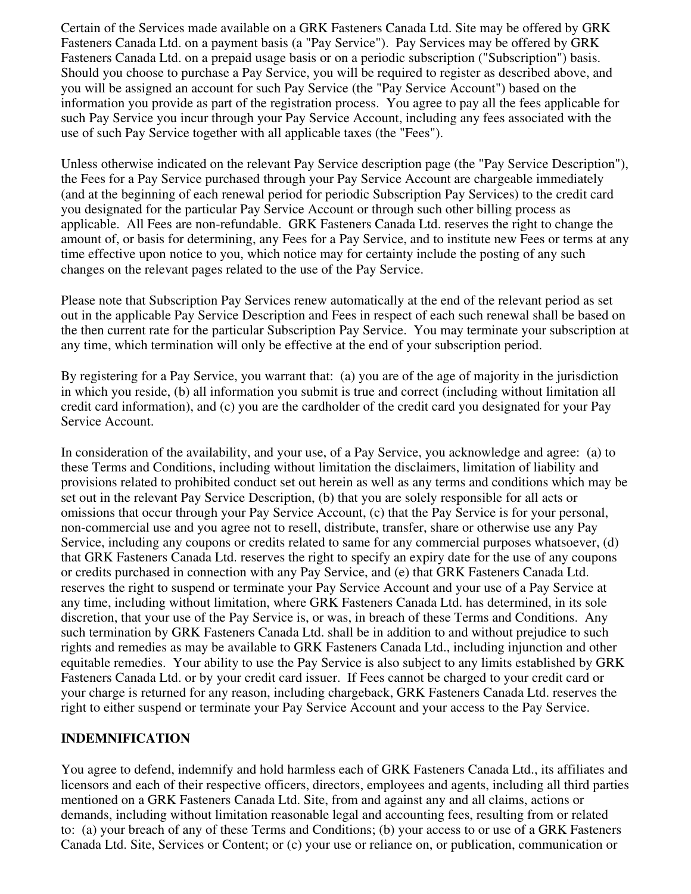Certain of the Services made available on a GRK Fasteners Canada Ltd. Site may be offered by GRK Fasteners Canada Ltd. on a payment basis (a "Pay Service"). Pay Services may be offered by GRK Fasteners Canada Ltd. on a prepaid usage basis or on a periodic subscription ("Subscription") basis. Should you choose to purchase a Pay Service, you will be required to register as described above, and you will be assigned an account for such Pay Service (the "Pay Service Account") based on the information you provide as part of the registration process. You agree to pay all the fees applicable for such Pay Service you incur through your Pay Service Account, including any fees associated with the use of such Pay Service together with all applicable taxes (the "Fees").

Unless otherwise indicated on the relevant Pay Service description page (the "Pay Service Description"), the Fees for a Pay Service purchased through your Pay Service Account are chargeable immediately (and at the beginning of each renewal period for periodic Subscription Pay Services) to the credit card you designated for the particular Pay Service Account or through such other billing process as applicable. All Fees are non-refundable. GRK Fasteners Canada Ltd. reserves the right to change the amount of, or basis for determining, any Fees for a Pay Service, and to institute new Fees or terms at any time effective upon notice to you, which notice may for certainty include the posting of any such changes on the relevant pages related to the use of the Pay Service.

Please note that Subscription Pay Services renew automatically at the end of the relevant period as set out in the applicable Pay Service Description and Fees in respect of each such renewal shall be based on the then current rate for the particular Subscription Pay Service. You may terminate your subscription at any time, which termination will only be effective at the end of your subscription period.

By registering for a Pay Service, you warrant that: (a) you are of the age of majority in the jurisdiction in which you reside, (b) all information you submit is true and correct (including without limitation all credit card information), and (c) you are the cardholder of the credit card you designated for your Pay Service Account.

In consideration of the availability, and your use, of a Pay Service, you acknowledge and agree: (a) to these Terms and Conditions, including without limitation the disclaimers, limitation of liability and provisions related to prohibited conduct set out herein as well as any terms and conditions which may be set out in the relevant Pay Service Description, (b) that you are solely responsible for all acts or omissions that occur through your Pay Service Account, (c) that the Pay Service is for your personal, non-commercial use and you agree not to resell, distribute, transfer, share or otherwise use any Pay Service, including any coupons or credits related to same for any commercial purposes whatsoever, (d) that GRK Fasteners Canada Ltd. reserves the right to specify an expiry date for the use of any coupons or credits purchased in connection with any Pay Service, and (e) that GRK Fasteners Canada Ltd. reserves the right to suspend or terminate your Pay Service Account and your use of a Pay Service at any time, including without limitation, where GRK Fasteners Canada Ltd. has determined, in its sole discretion, that your use of the Pay Service is, or was, in breach of these Terms and Conditions. Any such termination by GRK Fasteners Canada Ltd. shall be in addition to and without prejudice to such rights and remedies as may be available to GRK Fasteners Canada Ltd., including injunction and other equitable remedies. Your ability to use the Pay Service is also subject to any limits established by GRK Fasteners Canada Ltd. or by your credit card issuer. If Fees cannot be charged to your credit card or your charge is returned for any reason, including chargeback, GRK Fasteners Canada Ltd. reserves the right to either suspend or terminate your Pay Service Account and your access to the Pay Service.

#### **INDEMNIFICATION**

You agree to defend, indemnify and hold harmless each of GRK Fasteners Canada Ltd., its affiliates and licensors and each of their respective officers, directors, employees and agents, including all third parties mentioned on a GRK Fasteners Canada Ltd. Site, from and against any and all claims, actions or demands, including without limitation reasonable legal and accounting fees, resulting from or related to: (a) your breach of any of these Terms and Conditions; (b) your access to or use of a GRK Fasteners Canada Ltd. Site, Services or Content; or (c) your use or reliance on, or publication, communication or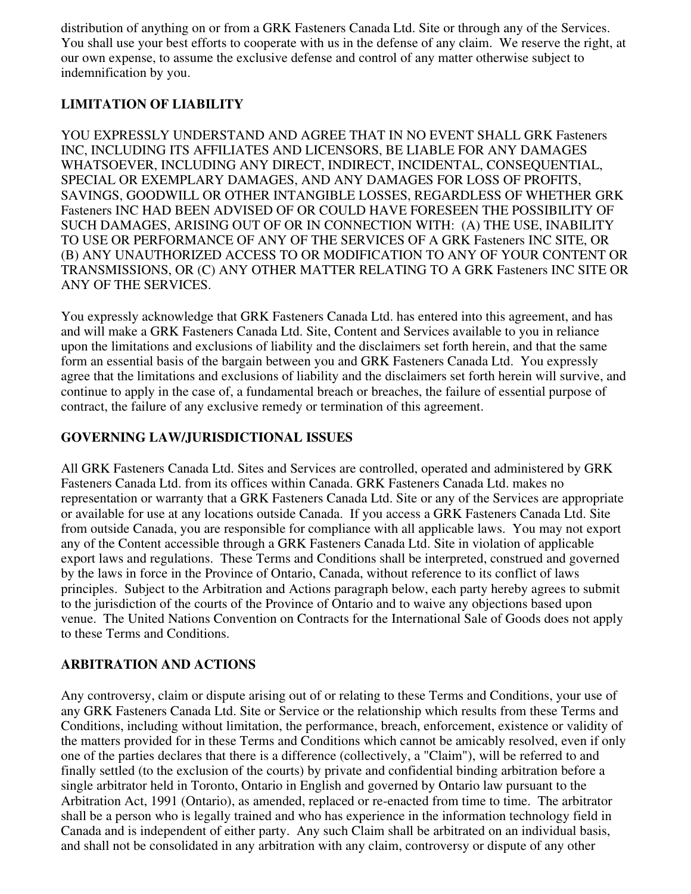distribution of anything on or from a GRK Fasteners Canada Ltd. Site or through any of the Services. You shall use your best efforts to cooperate with us in the defense of any claim. We reserve the right, at our own expense, to assume the exclusive defense and control of any matter otherwise subject to indemnification by you.

# **LIMITATION OF LIABILITY**

YOU EXPRESSLY UNDERSTAND AND AGREE THAT IN NO EVENT SHALL GRK Fasteners INC, INCLUDING ITS AFFILIATES AND LICENSORS, BE LIABLE FOR ANY DAMAGES WHATSOEVER, INCLUDING ANY DIRECT, INDIRECT, INCIDENTAL, CONSEQUENTIAL, SPECIAL OR EXEMPLARY DAMAGES, AND ANY DAMAGES FOR LOSS OF PROFITS, SAVINGS, GOODWILL OR OTHER INTANGIBLE LOSSES, REGARDLESS OF WHETHER GRK Fasteners INC HAD BEEN ADVISED OF OR COULD HAVE FORESEEN THE POSSIBILITY OF SUCH DAMAGES, ARISING OUT OF OR IN CONNECTION WITH: (A) THE USE, INABILITY TO USE OR PERFORMANCE OF ANY OF THE SERVICES OF A GRK Fasteners INC SITE, OR (B) ANY UNAUTHORIZED ACCESS TO OR MODIFICATION TO ANY OF YOUR CONTENT OR TRANSMISSIONS, OR (C) ANY OTHER MATTER RELATING TO A GRK Fasteners INC SITE OR ANY OF THE SERVICES.

You expressly acknowledge that GRK Fasteners Canada Ltd. has entered into this agreement, and has and will make a GRK Fasteners Canada Ltd. Site, Content and Services available to you in reliance upon the limitations and exclusions of liability and the disclaimers set forth herein, and that the same form an essential basis of the bargain between you and GRK Fasteners Canada Ltd. You expressly agree that the limitations and exclusions of liability and the disclaimers set forth herein will survive, and continue to apply in the case of, a fundamental breach or breaches, the failure of essential purpose of contract, the failure of any exclusive remedy or termination of this agreement.

# **GOVERNING LAW/JURISDICTIONAL ISSUES**

All GRK Fasteners Canada Ltd. Sites and Services are controlled, operated and administered by GRK Fasteners Canada Ltd. from its offices within Canada. GRK Fasteners Canada Ltd. makes no representation or warranty that a GRK Fasteners Canada Ltd. Site or any of the Services are appropriate or available for use at any locations outside Canada. If you access a GRK Fasteners Canada Ltd. Site from outside Canada, you are responsible for compliance with all applicable laws. You may not export any of the Content accessible through a GRK Fasteners Canada Ltd. Site in violation of applicable export laws and regulations. These Terms and Conditions shall be interpreted, construed and governed by the laws in force in the Province of Ontario, Canada, without reference to its conflict of laws principles. Subject to the Arbitration and Actions paragraph below, each party hereby agrees to submit to the jurisdiction of the courts of the Province of Ontario and to waive any objections based upon venue. The United Nations Convention on Contracts for the International Sale of Goods does not apply to these Terms and Conditions.

# **ARBITRATION AND ACTIONS**

Any controversy, claim or dispute arising out of or relating to these Terms and Conditions, your use of any GRK Fasteners Canada Ltd. Site or Service or the relationship which results from these Terms and Conditions, including without limitation, the performance, breach, enforcement, existence or validity of the matters provided for in these Terms and Conditions which cannot be amicably resolved, even if only one of the parties declares that there is a difference (collectively, a "Claim"), will be referred to and finally settled (to the exclusion of the courts) by private and confidential binding arbitration before a single arbitrator held in Toronto, Ontario in English and governed by Ontario law pursuant to the Arbitration Act, 1991 (Ontario), as amended, replaced or re-enacted from time to time. The arbitrator shall be a person who is legally trained and who has experience in the information technology field in Canada and is independent of either party. Any such Claim shall be arbitrated on an individual basis, and shall not be consolidated in any arbitration with any claim, controversy or dispute of any other